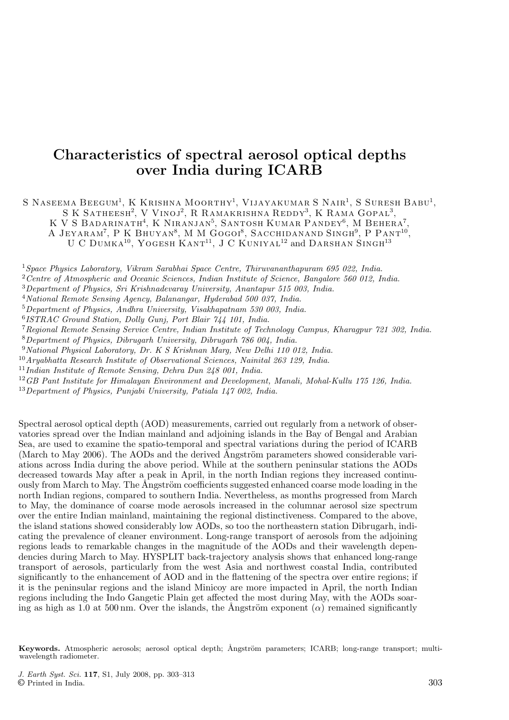# **Characteristics of spectral aerosol optical depths over India during ICARB**

S NASEEMA BEEGUM<sup>1</sup>, K KRISHNA MOORTHY<sup>1</sup>, VIJAYAKUMAR S NAIR<sup>1</sup>, S SURESH BABU<sup>1</sup>, S K SATHEESH<sup>2</sup>, V VINOJ<sup>2</sup>, R RAMAKRISHNA REDDY<sup>3</sup>, K RAMA GOPAL<sup>3</sup>,

K V S BADARINATH<sup>4</sup>, K NIRANJAN<sup>5</sup>, SANTOSH KUMAR PANDEY<sup>6</sup>, M BEHERA<sup>7</sup>,

A JEYARAM<sup>7</sup>, P K BHUYAN<sup>8</sup>, M M GOGOI<sup>8</sup>, SACCHIDANAND SINGH<sup>9</sup>, P PANT<sup>10</sup>,

U C DUMKA<sup>10</sup>, YOGESH KANT<sup>11</sup>, J C KUNIYAL<sup>12</sup> and DARSHAN SINGH<sup>13</sup>

<sup>1</sup>*Space Physics Laboratory, Vikram Sarabhai Space Centre, Thiruvananthapuram 695 022, India.*

<sup>2</sup>*Centre of Atmospheric and Oceanic Sciences, Indian Institute of Science, Bangalore 560 012, India.*

<sup>3</sup>*Department of Physics, Sri Krishnadevaray University, Anantapur 515 003, India.*

<sup>4</sup>*National Remote Sensing Agency, Balanangar, Hyderabad 500 037, India.*

<sup>5</sup>*Department of Physics, Andhra University, Visakhapatnam 530 003, India.*

<sup>6</sup>*ISTRAC Ground Station, Dolly Gunj, Port Blair 744 101, India.*

<sup>7</sup>*Regional Remote Sensing Service Centre, Indian Institute of Technology Campus, Kharagpur 721 302, India.* <sup>8</sup>*Department of Physics, Dibrugarh University, Dibrugarh 786 004, India.*

<sup>9</sup>*National Physical Laboratory, Dr. K S Krishnan Marg, New Delhi 110 012, India.*

<sup>10</sup>*Aryabhatta Research Institute of Observational Sciences, Nainital 263 129, India.*

<sup>11</sup>*Indian Institute of Remote Sensing, Dehra Dun 248 001, India.*

<sup>12</sup>*GB Pant Institute for Himalayan Environment and Development, Manali, Mohal-Kullu 175 126, India.*

<sup>13</sup>*Department of Physics, Punjabi University, Patiala 147 002, India.*

Spectral aerosol optical depth (AOD) measurements, carried out regularly from a network of observatories spread over the Indian mainland and adjoining islands in the Bay of Bengal and Arabian Sea, are used to examine the spatio-temporal and spectral variations during the period of ICARB (March to May 2006). The AODs and the derived  $\AA$ ngström parameters showed considerable variations across India during the above period. While at the southern peninsular stations the AODs decreased towards May after a peak in April, in the north Indian regions they increased continuously from March to May. The  $\AA$ ngström coefficients suggested enhanced coarse mode loading in the north Indian regions, compared to southern India. Nevertheless, as months progressed from March to May, the dominance of coarse mode aerosols increased in the columnar aerosol size spectrum over the entire Indian mainland, maintaining the regional distinctiveness. Compared to the above, the island stations showed considerably low AODs, so too the northeastern station Dibrugarh, indicating the prevalence of cleaner environment. Long-range transport of aerosols from the adjoining regions leads to remarkable changes in the magnitude of the AODs and their wavelength dependencies during March to May. HYSPLIT back-trajectory analysis shows that enhanced long-range transport of aerosols, particularly from the west Asia and northwest coastal India, contributed significantly to the enhancement of AOD and in the flattening of the spectra over entire regions; if it is the peninsular regions and the island Minicoy are more impacted in April, the north Indian regions including the Indo Gangetic Plain get affected the most during May, with the AODs soaring as high as 1.0 at 500 nm. Over the islands, the Ångström exponent ( $\alpha$ ) remained significantly

**Keywords.** Atmospheric aerosols; aerosol optical depth; Ångström parameters; ICARB; long-range transport; multiwavelength radiometer.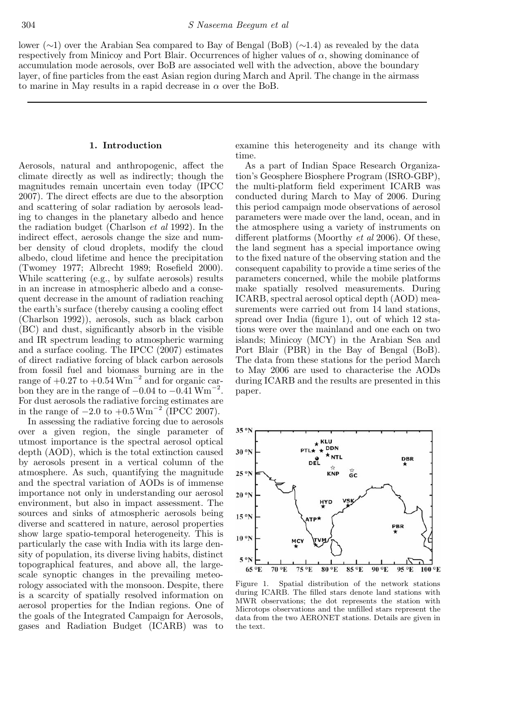lower (∼1) over the Arabian Sea compared to Bay of Bengal (BoB) (∼1.4) as revealed by the data respectively from Minicoy and Port Blair. Occurrences of higher values of  $\alpha$ , showing dominance of accumulation mode aerosols, over BoB are associated well with the advection, above the boundary layer, of fine particles from the east Asian region during March and April. The change in the airmass to marine in May results in a rapid decrease in  $\alpha$  over the BoB.

## **1. Introduction**

Aerosols, natural and anthropogenic, affect the climate directly as well as indirectly; though the magnitudes remain uncertain even today (IPCC 2007). The direct effects are due to the absorption and scattering of solar radiation by aerosols leading to changes in the planetary albedo and hence the radiation budget (Charlson *et al* 1992). In the indirect effect, aerosols change the size and number density of cloud droplets, modify the cloud albedo, cloud lifetime and hence the precipitation (Twomey 1977; Albrecht 1989; Rosefield 2000). While scattering (e.g., by sulfate aerosols) results in an increase in atmospheric albedo and a consequent decrease in the amount of radiation reaching the earth's surface (thereby causing a cooling effect (Charlson 1992)), aerosols, such as black carbon (BC) and dust, significantly absorb in the visible and IR spectrum leading to atmospheric warming and a surface cooling. The IPCC (2007) estimates of direct radiative forcing of black carbon aerosols from fossil fuel and biomass burning are in the range of  $+0.27$  to  $+0.54$  Wm<sup>-2</sup> and for organic carbon they are in the range of  $-0.04$  to  $-0.41$   $Wm^{-2}$ . For dust aerosols the radiative forcing estimates are in the range of  $-2.0$  to  $+0.5 \,\mathrm{Wm}^{-2}$  (IPCC 2007).

In assessing the radiative forcing due to aerosols over a given region, the single parameter of utmost importance is the spectral aerosol optical depth (AOD), which is the total extinction caused by aerosols present in a vertical column of the atmosphere. As such, quantifying the magnitude and the spectral variation of AODs is of immense importance not only in understanding our aerosol environment, but also in impact assessment. The sources and sinks of atmospheric aerosols being diverse and scattered in nature, aerosol properties show large spatio-temporal heterogeneity. This is particularly the case with India with its large density of population, its diverse living habits, distinct topographical features, and above all, the largescale synoptic changes in the prevailing meteorology associated with the monsoon. Despite, there is a scarcity of spatially resolved information on aerosol properties for the Indian regions. One of the goals of the Integrated Campaign for Aerosols, gases and Radiation Budget (ICARB) was to

examine this heterogeneity and its change with time.

As a part of Indian Space Research Organization's Geosphere Biosphere Program (ISRO-GBP), the multi-platform field experiment ICARB was conducted during March to May of 2006. During this period campaign mode observations of aerosol parameters were made over the land, ocean, and in the atmosphere using a variety of instruments on different platforms (Moorthy *et al* 2006). Of these, the land segment has a special importance owing to the fixed nature of the observing station and the consequent capability to provide a time series of the parameters concerned, while the mobile platforms make spatially resolved measurements. During ICARB, spectral aerosol optical depth (AOD) measurements were carried out from 14 land stations, spread over India (figure 1), out of which 12 stations were over the mainland and one each on two islands; Minicoy (MCY) in the Arabian Sea and Port Blair (PBR) in the Bay of Bengal (BoB). The data from these stations for the period March to May 2006 are used to characterise the AODs during ICARB and the results are presented in this paper.



Figure 1. Spatial distribution of the network stations during ICARB. The filled stars denote land stations with MWR observations; the dot represents the station with Microtops observations and the unfilled stars represent the data from the two AERONET stations. Details are given in the text.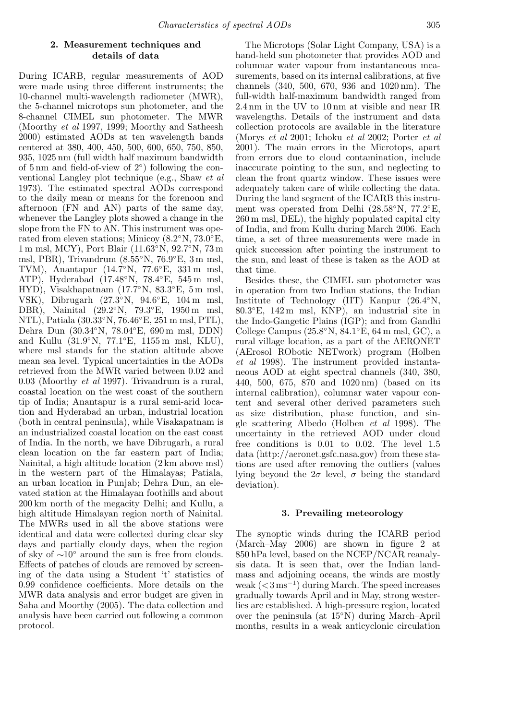## **2. Measurement techniques and details of data**

During ICARB, regular measurements of AOD were made using three different instruments; the 10-channel multi-wavelength radiometer (MWR), the 5-channel microtops sun photometer, and the 8-channel CIMEL sun photometer. The MWR (Moorthy *et al* 1997, 1999; Moorthy and Satheesh 2000) estimated AODs at ten wavelength bands centered at 380, 400, 450, 500, 600, 650, 750, 850, 935, 1025 nm (full width half maximum bandwidth of 5 nm and field-of-view of 2◦) following the conventional Langley plot technique (e.g., Shaw *et al* 1973). The estimated spectral AODs correspond to the daily mean or means for the forenoon and afternoon (FN and AN) parts of the same day, whenever the Langley plots showed a change in the slope from the FN to AN. This instrument was operated from eleven stations; Minicoy (8.2◦N, 73.0◦E, 1 m msl, MCY), Port Blair (11.63◦N, 92.7◦N, 73 m msl, PBR), Trivandrum (8.55◦N, 76.9◦E, 3 m msl, TVM), Anantapur (14.7◦N, 77.6◦E, 331 m msl, ATP), Hyderabad (17.48◦N, 78.4◦E, 545 m msl, HYD), Visakhapatnam (17.7◦N, 83.3◦E, 5 m msl, VSK), Dibrugarh (27.3◦N, 94.6◦E, 104 m msl, DBR), Nainital (29.2◦N, 79.3◦E, 1950 m msl, NTL), Patiala (30.33◦N, 76.46◦E, 251 m msl, PTL), Dehra Dun (30.34◦N, 78.04◦E, 690 m msl, DDN) and Kullu (31.9◦N, 77.1◦E, 1155 m msl, KLU), where msl stands for the station altitude above mean sea level. Typical uncertainties in the AODs retrieved from the MWR varied between 0.02 and 0.03 (Moorthy *et al* 1997). Trivandrum is a rural, coastal location on the west coast of the southern tip of India; Anantapur is a rural semi-arid location and Hyderabad an urban, industrial location (both in central peninsula), while Visakapatnam is an industrialized coastal location on the east coast of India. In the north, we have Dibrugarh, a rural clean location on the far eastern part of India; Nainital, a high altitude location (2 km above msl) in the western part of the Himalayas; Patiala, an urban location in Punjab; Dehra Dun, an elevated station at the Himalayan foothills and about 200 km north of the megacity Delhi; and Kullu, a high altitude Himalayan region north of Nainital. The MWRs used in all the above stations were identical and data were collected during clear sky days and partially cloudy days, when the region of sky of ∼10◦ around the sun is free from clouds. Effects of patches of clouds are removed by screening of the data using a Student 't' statistics of 0.99 confidence coefficients. More details on the MWR data analysis and error budget are given in Saha and Moorthy (2005). The data collection and analysis have been carried out following a common protocol.

The Microtops (Solar Light Company, USA) is a hand-held sun photometer that provides AOD and columnar water vapour from instantaneous measurements, based on its internal calibrations, at five channels (340, 500, 670, 936 and 1020 nm). The full-width half-maximum bandwidth ranged from 2.4 nm in the UV to 10 nm at visible and near IR wavelengths. Details of the instrument and data collection protocols are available in the literature (Morys *et al* 2001; Ichoku *et al* 2002; Porter *et al* 2001). The main errors in the Microtops, apart from errors due to cloud contamination, include inaccurate pointing to the sun, and neglecting to clean the front quartz window. These issues were adequately taken care of while collecting the data. During the land segment of the ICARB this instrument was operated from Delhi (28.58◦N, 77.2◦E, 260 m msl, DEL), the highly populated capital city of India, and from Kullu during March 2006. Each time, a set of three measurements were made in quick succession after pointing the instrument to the sun, and least of these is taken as the AOD at that time.

Besides these, the CIMEL sun photometer was in operation from two Indian stations, the Indian Institute of Technology (IIT) Kanpur (26.4◦N, 80.3◦E, 142 m msl, KNP), an industrial site in the Indo-Gangetic Plains (IGP); and from Gandhi College Campus (25.8◦N, 84.1◦E, 64 m msl, GC), a rural village location, as a part of the AERONET (AErosol RObotic NETwork) program (Holben *et al* 1998). The instrument provided instantaneous AOD at eight spectral channels (340, 380, 440, 500, 675, 870 and 1020 nm) (based on its internal calibration), columnar water vapour content and several other derived parameters such as size distribution, phase function, and single scattering Albedo (Holben *et al* 1998). The uncertainty in the retrieved AOD under cloud free conditions is 0.01 to 0.02. The level 1.5 data (http://aeronet.gsfc.nasa.gov) from these stations are used after removing the outliers (values lying beyond the  $2\sigma$  level,  $\sigma$  being the standard deviation).

## **3. Prevailing meteorology**

The synoptic winds during the ICARB period (March–May 2006) are shown in figure 2 at 850 hPa level, based on the NCEP/NCAR reanalysis data. It is seen that, over the Indian landmass and adjoining oceans, the winds are mostly weak  $(<3 \,\mathrm{ms}^{-1})$  during March. The speed increases gradually towards April and in May, strong westerlies are established. A high-pressure region, located over the peninsula (at 15◦N) during March–April months, results in a weak anticyclonic circulation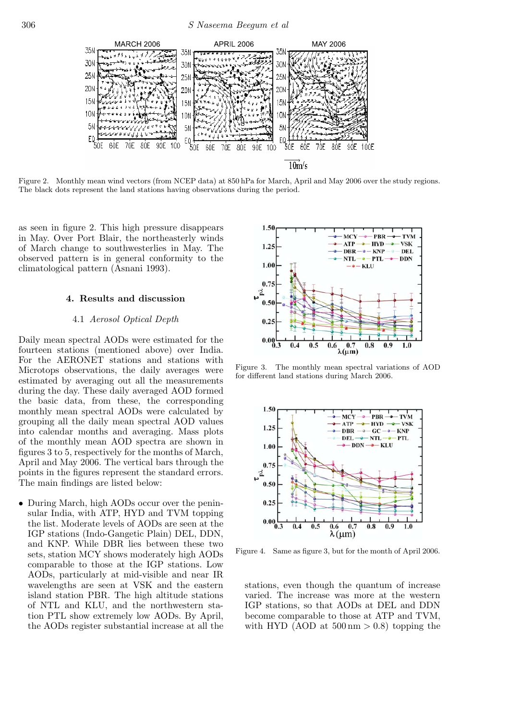

Figure 2. Monthly mean wind vectors (from NCEP data) at 850 hPa for March, April and May 2006 over the study regions. The black dots represent the land stations having observations during the period.

as seen in figure 2. This high pressure disappears in May. Over Port Blair, the northeasterly winds of March change to southwesterlies in May. The observed pattern is in general conformity to the climatological pattern (Asnani 1993).

## **4. Results and discussion**

### 4.1 *Aerosol Optical Depth*

Daily mean spectral AODs were estimated for the fourteen stations (mentioned above) over India. For the AERONET stations and stations with Microtops observations, the daily averages were estimated by averaging out all the measurements during the day. These daily averaged AOD formed the basic data, from these, the corresponding monthly mean spectral AODs were calculated by grouping all the daily mean spectral AOD values into calendar months and averaging. Mass plots of the monthly mean AOD spectra are shown in figures 3 to 5, respectively for the months of March, April and May 2006. The vertical bars through the points in the figures represent the standard errors. The main findings are listed below:

• During March, high AODs occur over the peninsular India, with ATP, HYD and TVM topping the list. Moderate levels of AODs are seen at the IGP stations (Indo-Gangetic Plain) DEL, DDN, and KNP. While DBR lies between these two sets, station MCY shows moderately high AODs comparable to those at the IGP stations. Low AODs, particularly at mid-visible and near IR wavelengths are seen at VSK and the eastern island station PBR. The high altitude stations of NTL and KLU, and the northwestern station PTL show extremely low AODs. By April, the AODs register substantial increase at all the



Figure 3. The monthly mean spectral variations of AOD for different land stations during March 2006.



Figure 4. Same as figure 3, but for the month of April 2006.

stations, even though the quantum of increase varied. The increase was more at the western IGP stations, so that AODs at DEL and DDN become comparable to those at ATP and TVM, with HYD (AOD at  $500 \text{ nm} > 0.8$ ) topping the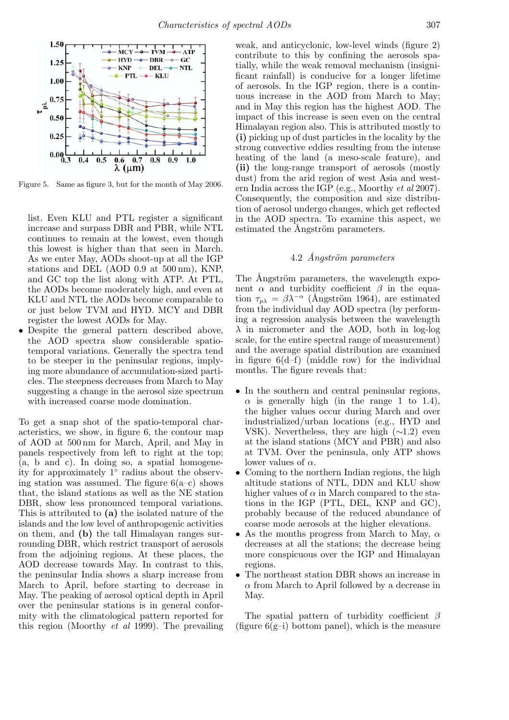

Figure 5. Same as figure 3, but for the month of May 2006.

- list. Even KLU and PTL register a significant increase and surpass DBR and PBR, while NTL continues to remain at the lowest, even though this lowest is higher than that seen in March. As we enter May, AODs shoot-up at all the IGP stations and DEL (AOD 0.9 at 500 nm), KNP, and GC top the list along with ATP. At PTL, the AODs become moderately high, and even at KLU and NTL the AODs become comparable to or just below TVM and HYD. MCY and DBR register the lowest AODs for May.
- Despite the general pattern described above, the AOD spectra show considerable spatiotemporal variations. Generally the spectra tend to be steeper in the peninsular regions, implying more abundance of accumulation-sized particles. The steepness decreases from March to May suggesting a change in the aerosol size spectrum with increased coarse mode domination.

To get a snap shot of the spatio-temporal characteristics, we show, in figure 6, the contour map of AOD at 500 nm for March, April, and May in panels respectively from left to right at the top; (a, b and c). In doing so, a spatial homogeneity for approximately 1◦ radius about the observing station was assumed. The figure  $6(a-c)$  shows that, the island stations as well as the NE station DBR, show less pronounced temporal variations. This is attributed to **(a)** the isolated nature of the islands and the low level of anthropogenic activities on them, and **(b)** the tall Himalayan ranges surrounding DBR, which restrict transport of aerosols from the adjoining regions. At these places, the AOD decrease towards May. In contrast to this, the peninsular India shows a sharp increase from March to April, before starting to decrease in May. The peaking of aerosol optical depth in April over the peninsular stations is in general conformity with the climatological pattern reported for this region (Moorthy *et al* 1999). The prevailing

weak, and anticyclonic, low-level winds (figure 2) contribute to this by confining the aerosols spatially, while the weak removal mechanism (insignificant rainfall) is conducive for a longer lifetime of aerosols. In the IGP region, there is a continuous increase in the AOD from March to May; and in May this region has the highest AOD. The impact of this increase is seen even on the central Himalayan region also. This is attributed mostly to **(i)** picking up of dust particles in the locality by the strong convective eddies resulting from the intense heating of the land (a meso-scale feature), and **(ii)** the long-range transport of aerosols (mostly dust) from the arid region of west Asia and western India across the IGP (e.g., Moorthy *et al* 2007). Consequently, the composition and size distribution of aerosol undergo changes, which get reflected in the AOD spectra. To examine this aspect, we estimated the Ångström parameters.

# 4.2 *˚Angstr¨om parameters*

The Angström parameters, the wavelength exponent  $\alpha$  and turbidity coefficient  $\beta$  in the equation  $\tau_{n\lambda} = \beta \lambda^{-\alpha}$  (Ångström 1964), are estimated from the individual day AOD spectra (by performing a regression analysis between the wavelength  $\lambda$  in micrometer and the AOD, both in log-log scale, for the entire spectral range of measurement) and the average spatial distribution are examined in figure  $6(d-f)$  (middle row) for the individual months. The figure reveals that:

- In the southern and central peninsular regions,  $\alpha$  is generally high (in the range 1 to 1.4), the higher values occur during March and over industrialized/urban locations (e.g., HYD and VSK). Nevertheless, they are high  $(\sim 1.2)$  even at the island stations (MCY and PBR) and also at TVM. Over the peninsula, only ATP shows lower values of  $\alpha$ .
- Coming to the northern Indian regions, the high altitude stations of NTL, DDN and KLU show higher values of  $\alpha$  in March compared to the stations in the IGP (PTL, DEL, KNP and GC), probably because of the reduced abundance of coarse mode aerosols at the higher elevations.
- As the months progress from March to May,  $\alpha$ decreases at all the stations; the decrease being more conspicuous over the IGP and Himalayan regions.
- The northeast station DBR shows an increase in  $\alpha$  from March to April followed by a decrease in May.

The spatial pattern of turbidity coefficient  $\beta$ (figure  $6(g-i)$  bottom panel), which is the measure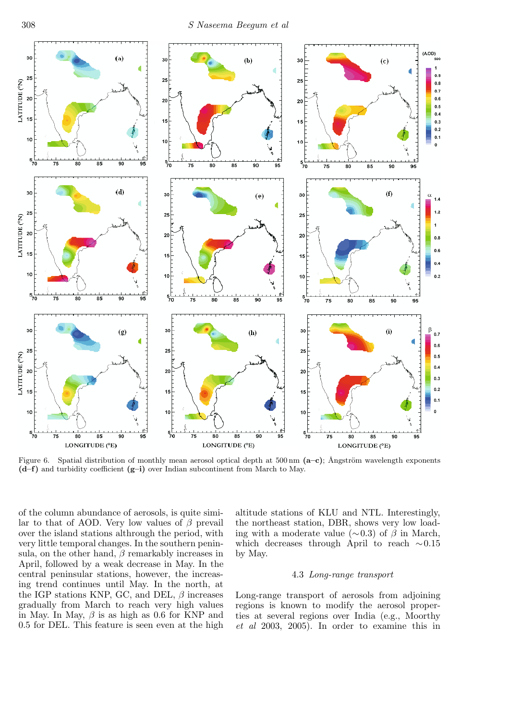

Figure 6. Spatial distribution of monthly mean aerosol optical depth at  $500 \text{ nm}$   $(a-e)$ ; Ångström wavelength exponents **(d–f)** and turbidity coefficient **(g–i)** over Indian subcontinent from March to May.

of the column abundance of aerosols, is quite similar to that of AOD. Very low values of  $\beta$  prevail over the island stations althrough the period, with very little temporal changes. In the southern peninsula, on the other hand,  $\beta$  remarkably increases in April, followed by a weak decrease in May. In the central peninsular stations, however, the increasing trend continues until May. In the north, at the IGP stations KNP, GC, and DEL,  $\beta$  increases gradually from March to reach very high values in May. In May,  $\beta$  is as high as 0.6 for KNP and 0.5 for DEL. This feature is seen even at the high

altitude stations of KLU and NTL. Interestingly, the northeast station, DBR, shows very low loading with a moderate value ( $\sim$ 0.3) of  $\beta$  in March, which decreases through April to reach ∼0.15 by May.

## 4.3 *Long-range transport*

Long-range transport of aerosols from adjoining regions is known to modify the aerosol properties at several regions over India (e.g., Moorthy *et al* 2003, 2005). In order to examine this in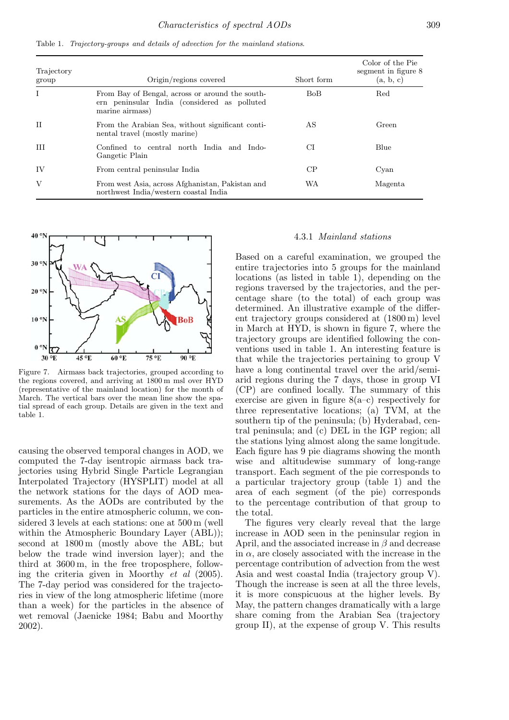| <b>Lable 1.</b> Trajectory-groups and details of davection for the maintaina stations. |                                                                                                                    |            |                                                      |  |
|----------------------------------------------------------------------------------------|--------------------------------------------------------------------------------------------------------------------|------------|------------------------------------------------------|--|
| Trajectory<br>group                                                                    | Origin/regions covered                                                                                             | Short form | Color of the Pie<br>segment in figure 8<br>(a, b, c) |  |
|                                                                                        | From Bay of Bengal, across or around the south-<br>ern peninsular India (considered as polluted<br>marine airmass) | BoB.       | Red                                                  |  |
| H                                                                                      | From the Arabian Sea, without significant conti-<br>nental travel (mostly marine)                                  | AS         | Green                                                |  |
| Ш                                                                                      | Confined to central north India and Indo-<br>Gangetic Plain                                                        | СI         | Blue                                                 |  |
| ΙV                                                                                     | From central peninsular India                                                                                      | CР         | Cvan                                                 |  |

Table 1. *Trajectory-groups and details of advection for the mainland stations*.

V From west Asia, across Afghanistan, Pakistan and northwest India/western coastal India



Figure 7. Airmass back trajectories, grouped according to the regions covered, and arriving at 1800 m msl over HYD (representative of the mainland location) for the month of March. The vertical bars over the mean line show the spatial spread of each group. Details are given in the text and table 1.

causing the observed temporal changes in AOD, we computed the 7-day isentropic airmass back trajectories using Hybrid Single Particle Legrangian Interpolated Trajectory (HYSPLIT) model at all the network stations for the days of AOD measurements. As the AODs are contributed by the particles in the entire atmospheric column, we considered 3 levels at each stations: one at 500 m (well within the Atmospheric Boundary Layer (ABL)); second at 1800 m (mostly above the ABL; but below the trade wind inversion layer); and the third at 3600 m, in the free troposphere, following the criteria given in Moorthy *et al* (2005). The 7-day period was considered for the trajectories in view of the long atmospheric lifetime (more than a week) for the particles in the absence of wet removal (Jaenicke 1984; Babu and Moorthy 2002).

## 4.3.1 *Mainland stations*

WA Magenta

Based on a careful examination, we grouped the entire trajectories into 5 groups for the mainland locations (as listed in table 1), depending on the regions traversed by the trajectories, and the percentage share (to the total) of each group was determined. An illustrative example of the different trajectory groups considered at (1800 m) level in March at HYD, is shown in figure 7, where the trajectory groups are identified following the conventions used in table 1. An interesting feature is that while the trajectories pertaining to group V have a long continental travel over the arid/semiarid regions during the 7 days, those in group VI (CP) are confined locally. The summary of this exercise are given in figure  $8(a-c)$  respectively for three representative locations; (a) TVM, at the southern tip of the peninsula; (b) Hyderabad, central peninsula; and (c) DEL in the IGP region; all the stations lying almost along the same longitude. Each figure has 9 pie diagrams showing the month wise and altitudewise summary of long-range transport. Each segment of the pie corresponds to a particular trajectory group (table 1) and the area of each segment (of the pie) corresponds to the percentage contribution of that group to the total.

The figures very clearly reveal that the large increase in AOD seen in the peninsular region in April, and the associated increase in  $\beta$  and decrease in  $\alpha$ , are closely associated with the increase in the percentage contribution of advection from the west Asia and west coastal India (trajectory group V). Though the increase is seen at all the three levels, it is more conspicuous at the higher levels. By May, the pattern changes dramatically with a large share coming from the Arabian Sea (trajectory group II), at the expense of group V. This results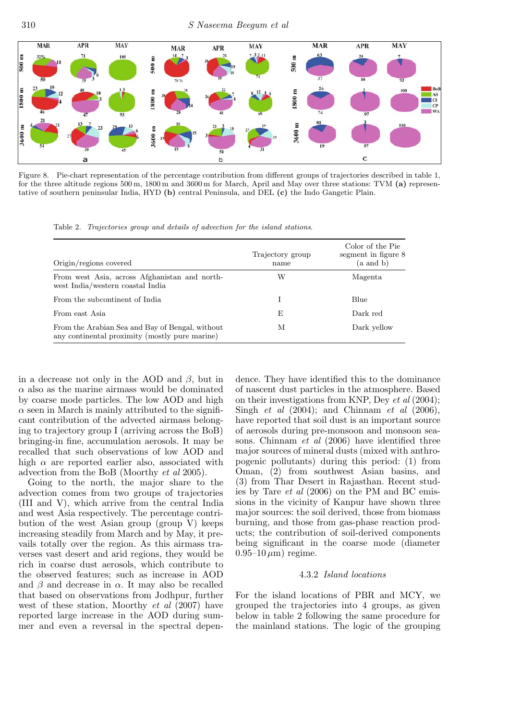

Figure 8. Pie-chart representation of the percentage contribution from different groups of trajectories described in table 1, for the three altitude regions 500 m, 1800 m and 3600 m for March, April and May over three stations: TVM **(a)** representative of southern peninsular India, HYD **(b)** central Peninsula, and DEL **(c)** the Indo Gangetic Plain.

Table 2. *Trajectories group and details of advection for the island stations*.

| Origin/regions covered                                                                            | Trajectory group<br>name | Color of the Pie<br>segment in figure 8<br>(a and b) |
|---------------------------------------------------------------------------------------------------|--------------------------|------------------------------------------------------|
| From west Asia, across Afghanistan and north-<br>west India/western coastal India                 | W                        | Magenta                                              |
| From the subcontinent of India                                                                    |                          | Blue                                                 |
| From east Asia                                                                                    | E                        | Dark red                                             |
| From the Arabian Sea and Bay of Bengal, without<br>any continental proximity (mostly pure marine) | М                        | Dark yellow                                          |

in a decrease not only in the AOD and  $\beta$ , but in  $\alpha$  also as the marine airmass would be dominated by coarse mode particles. The low AOD and high  $\alpha$  seen in March is mainly attributed to the significant contribution of the advected airmass belonging to trajectory group I (arriving across the BoB) bringing-in fine, accumulation aerosols. It may be recalled that such observations of low AOD and high  $\alpha$  are reported earlier also, associated with advection from the BoB (Moorthy *et al* 2005).

Going to the north, the major share to the advection comes from two groups of trajectories (III and V), which arrive from the central India and west Asia respectively. The percentage contribution of the west Asian group (group V) keeps increasing steadily from March and by May, it prevails totally over the region. As this airmass traverses vast desert and arid regions, they would be rich in coarse dust aerosols, which contribute to the observed features; such as increase in AOD and  $\beta$  and decrease in  $\alpha$ . It may also be recalled that based on observations from Jodhpur, further west of these station, Moorthy *et al* (2007) have reported large increase in the AOD during summer and even a reversal in the spectral depen-

dence. They have identified this to the dominance of nascent dust particles in the atmosphere. Based on their investigations from KNP, Dey *et al* (2004); Singh *et al* (2004); and Chinnam *et al* (2006), have reported that soil dust is an important source of aerosols during pre-monsoon and monsoon seasons. Chinnam *et al* (2006) have identified three major sources of mineral dusts (mixed with anthropogenic pollutants) during this period: (1) from Oman, (2) from southwest Asian basins, and (3) from Thar Desert in Rajasthan. Recent studies by Tare *et al* (2006) on the PM and BC emissions in the vicinity of Kanpur have shown three major sources: the soil derived, those from biomass burning, and those from gas-phase reaction products; the contribution of soil-derived components being significant in the coarse mode (diameter  $(0.95-10 \,\mu m)$  regime.

## 4.3.2 *Island locations*

For the island locations of PBR and MCY, we grouped the trajectories into 4 groups, as given below in table 2 following the same procedure for the mainland stations. The logic of the grouping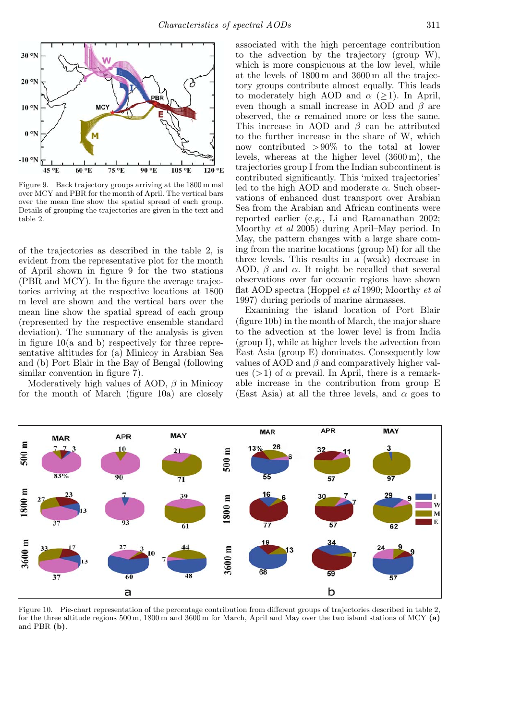

Figure 9. Back trajectory groups arriving at the 1800 m msl over MCY and PBR for the month of April. The vertical bars over the mean line show the spatial spread of each group. Details of grouping the trajectories are given in the text and table 2.

of the trajectories as described in the table 2, is evident from the representative plot for the month of April shown in figure 9 for the two stations (PBR and MCY). In the figure the average trajectories arriving at the respective locations at 1800 m level are shown and the vertical bars over the mean line show the spatial spread of each group (represented by the respective ensemble standard deviation). The summary of the analysis is given in figure 10(a and b) respectively for three representative altitudes for (a) Minicoy in Arabian Sea and (b) Port Blair in the Bay of Bengal (following similar convention in figure 7).

Moderatively high values of AOD,  $\beta$  in Minicoy for the month of March (figure 10a) are closely

associated with the high percentage contribution to the advection by the trajectory (group W), which is more conspicuous at the low level, while at the levels of 1800 m and 3600 m all the trajectory groups contribute almost equally. This leads to moderately high AOD and  $\alpha$  ( $\geq$ 1). In April, even though a small increase in AOD and  $\beta$  are observed, the  $\alpha$  remained more or less the same. This increase in AOD and  $\beta$  can be attributed to the further increase in the share of W, which now contributed  $>90\%$  to the total at lower levels, whereas at the higher level (3600 m), the trajectories group I from the Indian subcontinent is contributed significantly. This 'mixed trajectories' led to the high AOD and moderate  $\alpha$ . Such observations of enhanced dust transport over Arabian Sea from the Arabian and African continents were reported earlier (e.g., Li and Ramanathan 2002; Moorthy *et al* 2005) during April–May period. In May, the pattern changes with a large share coming from the marine locations (group M) for all the three levels. This results in a (weak) decrease in AOD,  $\beta$  and  $\alpha$ . It might be recalled that several observations over far oceanic regions have shown flat AOD spectra (Hoppel *et al* 1990; Moorthy *et al* 1997) during periods of marine airmasses.

Examining the island location of Port Blair (figure 10b) in the month of March, the major share to the advection at the lower level is from India (group I), while at higher levels the advection from East Asia (group E) dominates. Consequently low values of AOD and  $\beta$  and comparatively higher values  $(>1)$  of  $\alpha$  prevail. In April, there is a remarkable increase in the contribution from group E (East Asia) at all the three levels, and  $\alpha$  goes to



Figure 10. Pie-chart representation of the percentage contribution from different groups of trajectories described in table 2, for the three altitude regions 500 m, 1800 m and 3600 m for March, April and May over the two island stations of MCY **(a)** and PBR **(b)**.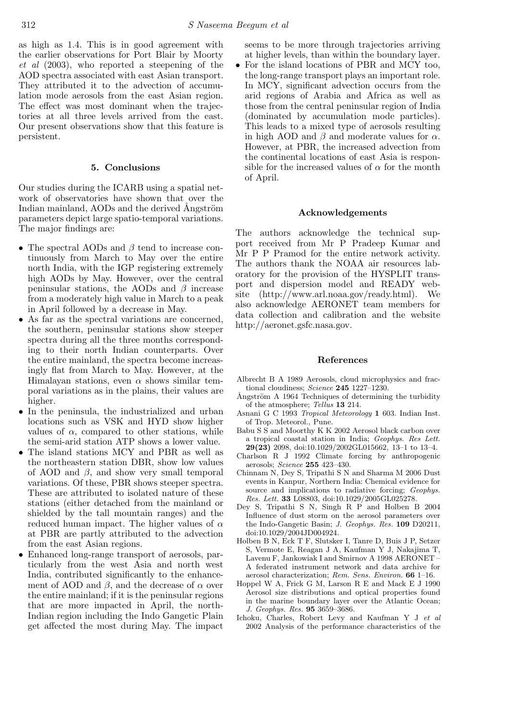as high as 1.4. This is in good agreement with the earlier observations for Port Blair by Moorty *et al* (2003), who reported a steepening of the AOD spectra associated with east Asian transport. They attributed it to the advection of accumulation mode aerosols from the east Asian region. The effect was most dominant when the trajectories at all three levels arrived from the east. Our present observations show that this feature is persistent.

## **5. Conclusions**

Our studies during the ICARB using a spatial network of observatories have shown that over the Indian mainland, AODs and the derived Angström parameters depict large spatio-temporal variations. The major findings are:

- The spectral AODs and  $\beta$  tend to increase continuously from March to May over the entire north India, with the IGP registering extremely high AODs by May. However, over the central peninsular stations, the AODs and  $\beta$  increase from a moderately high value in March to a peak in April followed by a decrease in May.
- As far as the spectral variations are concerned, the southern, peninsular stations show steeper spectra during all the three months corresponding to their north Indian counterparts. Over the entire mainland, the spectra become increasingly flat from March to May. However, at the Himalayan stations, even  $\alpha$  shows similar temporal variations as in the plains, their values are higher.
- In the peninsula, the industrialized and urban locations such as VSK and HYD show higher values of  $\alpha$ , compared to other stations, while the semi-arid station ATP shows a lower value.
- The island stations MCY and PBR as well as the northeastern station DBR, show low values of AOD and  $\beta$ , and show very small temporal variations. Of these, PBR shows steeper spectra. These are attributed to isolated nature of these stations (either detached from the mainland or shielded by the tall mountain ranges) and the reduced human impact. The higher values of  $\alpha$ at PBR are partly attributed to the advection from the east Asian regions.
- Enhanced long-range transport of aerosols, particularly from the west Asia and north west India, contributed significantly to the enhancement of AOD and  $\beta$ , and the decrease of  $\alpha$  over the entire mainland; if it is the peninsular regions that are more impacted in April, the north-Indian region including the Indo Gangetic Plain get affected the most during May. The impact

seems to be more through trajectories arriving at higher levels, than within the boundary layer.

• For the island locations of PBR and MCY too, the long-range transport plays an important role. In MCY, significant advection occurs from the arid regions of Arabia and Africa as well as those from the central peninsular region of India (dominated by accumulation mode particles). This leads to a mixed type of aerosols resulting in high AOD and  $\beta$  and moderate values for  $\alpha$ . However, at PBR, the increased advection from the continental locations of east Asia is responsible for the increased values of  $\alpha$  for the month of April.

### **Acknowledgements**

The authors acknowledge the technical support received from Mr P Pradeep Kumar and Mr P P Pramod for the entire network activity. The authors thank the NOAA air resources laboratory for the provision of the HYSPLIT transport and dispersion model and READY website (http://www.arl.noaa.gov/ready.html). We also acknowledge AERONET team members for data collection and calibration and the website http://aeronet.gsfc.nasa.gov.

## **References**

- Albrecht B A 1989 Aerosols, cloud microphysics and fractional cloudiness; *Science* **245** 1227–1230.<br>Ångström A 1964 Techniques of determining the turbidity
- of the atmosphere; *Tellus* **13** 214.
- Asnani G C 1993 *Tropical Meteorology* **1** 603. Indian Inst. of Trop. Meteorol., Pune.
- Babu S S and Moorthy K K 2002 Aerosol black carbon over a tropical coastal station in India; *Geophys. Res Lett.* **29(23)** 2098, doi:10.1029/2002GL015662, 13–1 to 13–4.
- Charlson R J 1992 Climate forcing by anthropogenic aerosols; *Science* **255** 423–430.
- Chinnam N, Dey S, Tripathi S N and Sharma M 2006 Dust events in Kanpur, Northern India: Chemical evidence for source and implications to radiative forcing; *Geophys. Res. Lett.* **33** L08803, doi:10.1029/2005GL025278.
- Dey S, Tripathi S N, Singh R P and Holben B 2004 Influence of dust storm on the aerosol parameters over the Indo-Gangetic Basin; *J. Geophys. Res.* **109** D20211, doi:10.1029/2004JD004924.
- Holben B N, Eck T F, Slutsker I, Tanre D, Buis J P, Setzer S, Vermote E, Reagan J A, Kaufman Y J, Nakajima T, Lavenu F, Jankowiak I and Smirnov A 1998 AERONET – A federated instrument network and data archive for aerosol characterization; *Rem. Sens. Environ.* **66** 1–16.
- Hoppel W A, Frick G M, Larson R E and Mack E J 1990 Aerosol size distributions and optical properties found in the marine boundary layer over the Atlantic Ocean; *J. Geophys. Res.* **95** 3659–3686.
- Ichoku, Charles, Robert Levy and Kaufman Y J *et al* 2002 Analysis of the performance characteristics of the